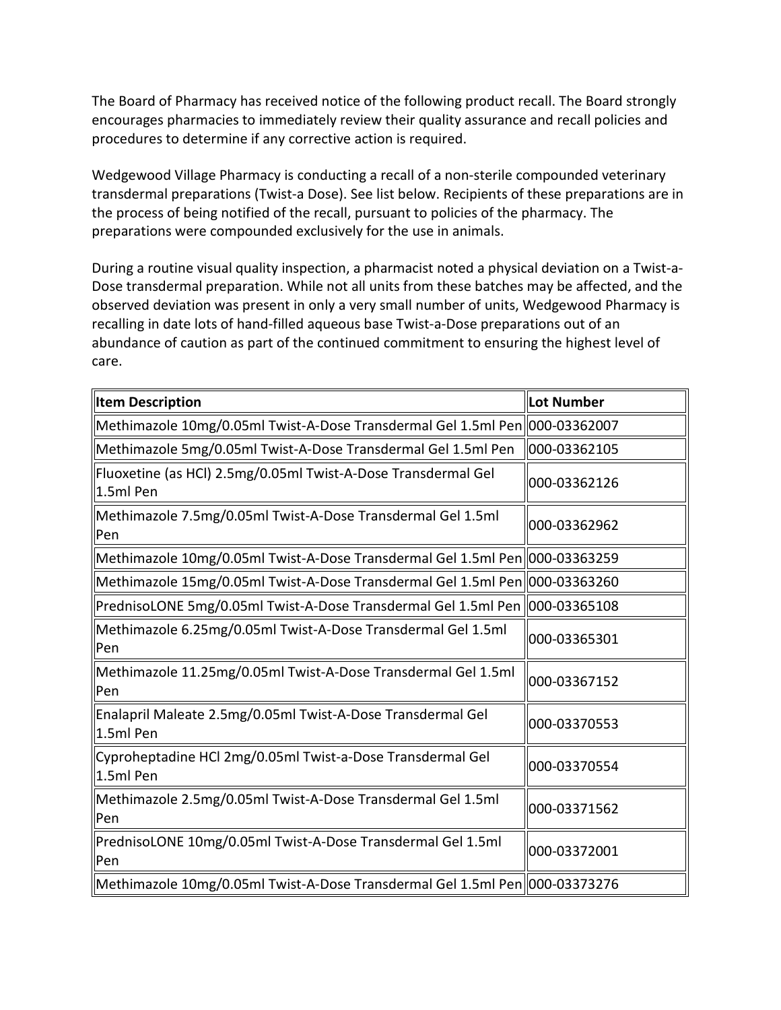The Board of Pharmacy has received notice of the following product recall. The Board strongly encourages pharmacies to immediately review their quality assurance and recall policies and procedures to determine if any corrective action is required.

 transdermal preparations (Twist-a Dose). See list below. Recipients of these preparations are in Wedgewood Village Pharmacy is conducting a recall of a non-sterile compounded veterinary the process of being notified of the recall, pursuant to policies of the pharmacy. The preparations were compounded exclusively for the use in animals.

 Dose transdermal preparation. While not all units from these batches may be affected, and the observed deviation was present in only a very small number of units, Wedgewood Pharmacy is During a routine visual quality inspection, a pharmacist noted a physical deviation on a Twist-arecalling in date lots of hand-filled aqueous base Twist-a-Dose preparations out of an abundance of caution as part of the continued commitment to ensuring the highest level of care.

| <b>Item Description</b>                                                       | Lot Number    |
|-------------------------------------------------------------------------------|---------------|
| Methimazole 10mg/0.05ml Twist-A-Dose Transdermal Gel 1.5ml Pen 000-03362007   |               |
| Methimazole 5mg/0.05ml Twist-A-Dose Transdermal Gel 1.5ml Pen                 | 000-03362105  |
| Fluoxetine (as HCl) 2.5mg/0.05ml Twist-A-Dose Transdermal Gel<br>1.5ml Pen    | 000-03362126  |
| Methimazole 7.5mg/0.05ml Twist-A-Dose Transdermal Gel 1.5ml<br>Pen            | 000-03362962  |
| Methimazole 10mg/0.05ml Twist-A-Dose Transdermal Gel 1.5ml Pen  000-03363259  |               |
| Methimazole 15mg/0.05ml Twist-A-Dose Transdermal Gel 1.5ml Pen  000-03363260  |               |
| PrednisoLONE 5mg/0.05ml Twist-A-Dose Transdermal Gel 1.5ml Pen   000-03365108 |               |
| Methimazole 6.25mg/0.05ml Twist-A-Dose Transdermal Gel 1.5ml<br><b>Pen</b>    | 000-03365301  |
| Methimazole 11.25mg/0.05ml Twist-A-Dose Transdermal Gel 1.5ml<br>Pen          | 1000-03367152 |
| Enalapril Maleate 2.5mg/0.05ml Twist-A-Dose Transdermal Gel<br>1.5ml Pen      | 000-03370553  |
| Cyproheptadine HCl 2mg/0.05ml Twist-a-Dose Transdermal Gel<br>1.5ml Pen       | 000-03370554  |
| Methimazole 2.5mg/0.05ml Twist-A-Dose Transdermal Gel 1.5ml<br>$ $ Pen        | 1000-03371562 |
| PrednisoLONE 10mg/0.05ml Twist-A-Dose Transdermal Gel 1.5ml<br>Pen            | 1000-03372001 |
| Methimazole 10mg/0.05ml Twist-A-Dose Transdermal Gel 1.5ml Pen  000-03373276  |               |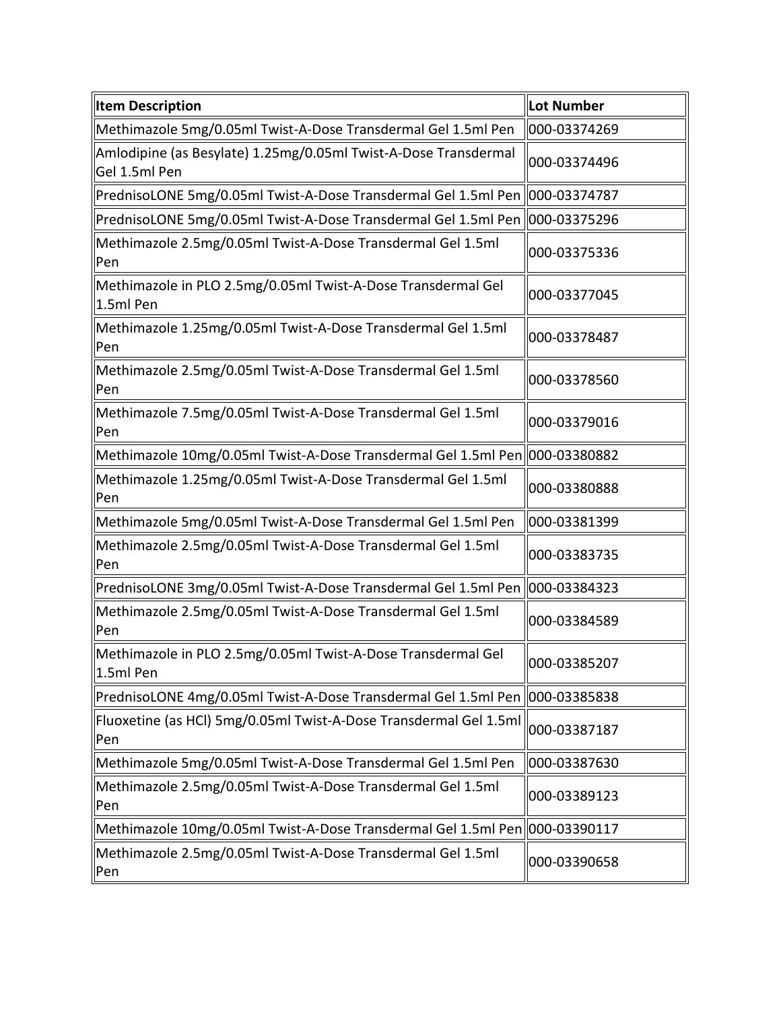| <b>Item Description</b>                                                          | Lot Number    |
|----------------------------------------------------------------------------------|---------------|
| Methimazole 5mg/0.05ml Twist-A-Dose Transdermal Gel 1.5ml Pen                    | 000-03374269  |
| Amlodipine (as Besylate) 1.25mg/0.05ml Twist-A-Dose Transdermal<br>Gel 1.5ml Pen | 000-03374496  |
| PrednisoLONE 5mg/0.05ml Twist-A-Dose Transdermal Gel 1.5ml Pen   000-03374787    |               |
| PrednisoLONE 5mg/0.05ml Twist-A-Dose Transdermal Gel 1.5ml Pen   000-03375296    |               |
| Methimazole 2.5mg/0.05ml Twist-A-Dose Transdermal Gel 1.5ml<br>Pen               | 000-03375336  |
| Methimazole in PLO 2.5mg/0.05ml Twist-A-Dose Transdermal Gel<br>1.5ml Pen        | 000-03377045  |
| Methimazole 1.25mg/0.05ml Twist-A-Dose Transdermal Gel 1.5ml<br>Pen              | 1000-03378487 |
| Methimazole 2.5mg/0.05ml Twist-A-Dose Transdermal Gel 1.5ml<br>Pen               | 000-03378560  |
| Methimazole 7.5mg/0.05ml Twist-A-Dose Transdermal Gel 1.5ml<br>Pen               | 000-03379016  |
| Methimazole 10mg/0.05ml Twist-A-Dose Transdermal Gel 1.5ml Pen 000-03380882      |               |
| Methimazole 1.25mg/0.05ml Twist-A-Dose Transdermal Gel 1.5ml<br>Pen              | 000-03380888  |
| Methimazole 5mg/0.05ml Twist-A-Dose Transdermal Gel 1.5ml Pen                    | 000-03381399  |
| Methimazole 2.5mg/0.05ml Twist-A-Dose Transdermal Gel 1.5ml<br>Pen               | 000-03383735  |
| PrednisoLONE 3mg/0.05ml Twist-A-Dose Transdermal Gel 1.5ml Pen   000-03384323    |               |
| Methimazole 2.5mg/0.05ml Twist-A-Dose Transdermal Gel 1.5ml<br>Pen               | 000-03384589  |
| Methimazole in PLO 2.5mg/0.05ml Twist-A-Dose Transdermal Gel<br>1.5ml Pen        | 000-03385207  |
| PrednisoLONE 4mg/0.05ml Twist-A-Dose Transdermal Gel 1.5ml Pen   000-03385838    |               |
| Fluoxetine (as HCl) 5mg/0.05ml Twist-A-Dose Transdermal Gel 1.5ml<br>Pen         | 000-03387187  |
| Methimazole 5mg/0.05ml Twist-A-Dose Transdermal Gel 1.5ml Pen                    | 000-03387630  |
| Methimazole 2.5mg/0.05ml Twist-A-Dose Transdermal Gel 1.5ml<br>Pen               | 000-03389123  |
| Methimazole 10mg/0.05ml Twist-A-Dose Transdermal Gel 1.5ml Pen 000-03390117      |               |
| Methimazole 2.5mg/0.05ml Twist-A-Dose Transdermal Gel 1.5ml<br>Pen               | 000-03390658  |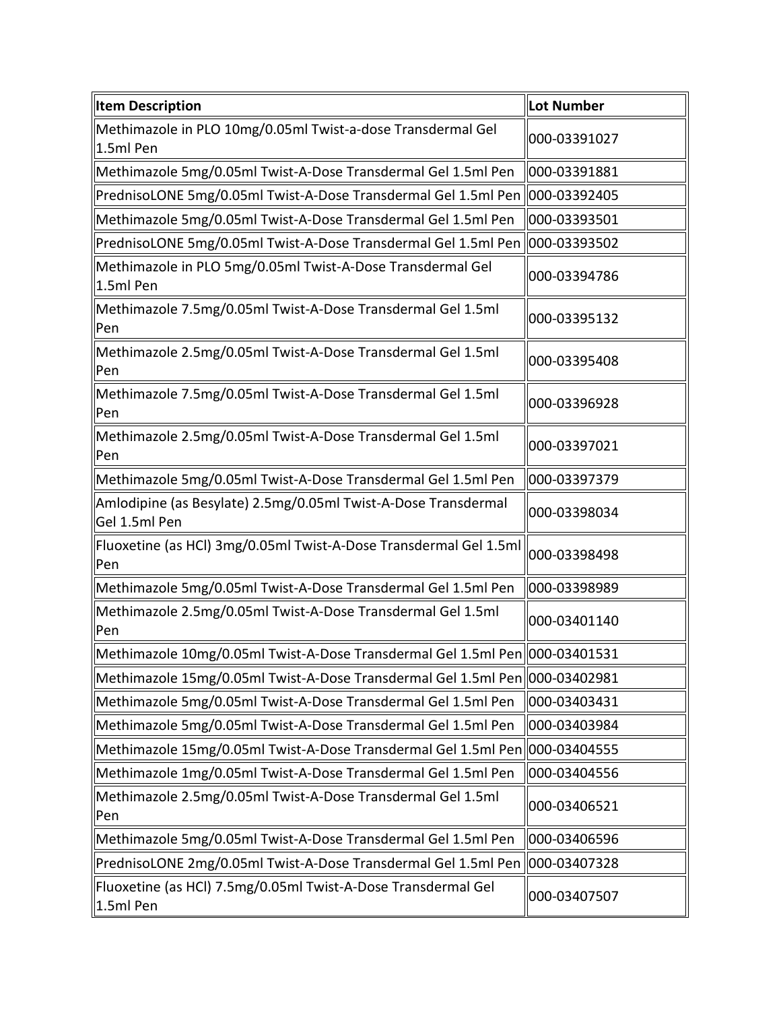| <b>Item Description</b>                                                         | Lot Number   |
|---------------------------------------------------------------------------------|--------------|
| Methimazole in PLO 10mg/0.05ml Twist-a-dose Transdermal Gel<br>1.5ml Pen        | 000-03391027 |
| Methimazole 5mg/0.05ml Twist-A-Dose Transdermal Gel 1.5ml Pen                   | 000-03391881 |
| PrednisoLONE 5mg/0.05ml Twist-A-Dose Transdermal Gel 1.5ml Pen  000-03392405    |              |
| Methimazole 5mg/0.05ml Twist-A-Dose Transdermal Gel 1.5ml Pen                   | 000-03393501 |
| PrednisoLONE 5mg/0.05ml Twist-A-Dose Transdermal Gel 1.5ml Pen 000-03393502     |              |
| Methimazole in PLO 5mg/0.05ml Twist-A-Dose Transdermal Gel<br>1.5ml Pen         | 000-03394786 |
| Methimazole 7.5mg/0.05ml Twist-A-Dose Transdermal Gel 1.5ml<br>Pen              | 000-03395132 |
| Methimazole 2.5mg/0.05ml Twist-A-Dose Transdermal Gel 1.5ml<br>Pen              | 000-03395408 |
| Methimazole 7.5mg/0.05ml Twist-A-Dose Transdermal Gel 1.5ml<br>Pen              | 000-03396928 |
| Methimazole 2.5mg/0.05ml Twist-A-Dose Transdermal Gel 1.5ml<br>Pen              | 000-03397021 |
| Methimazole 5mg/0.05ml Twist-A-Dose Transdermal Gel 1.5ml Pen                   | 000-03397379 |
| Amlodipine (as Besylate) 2.5mg/0.05ml Twist-A-Dose Transdermal<br>Gel 1.5ml Pen | 000-03398034 |
| Fluoxetine (as HCl) 3mg/0.05ml Twist-A-Dose Transdermal Gel 1.5ml<br>Pen        | 000-03398498 |
| Methimazole 5mg/0.05ml Twist-A-Dose Transdermal Gel 1.5ml Pen                   | 000-03398989 |
| Methimazole 2.5mg/0.05ml Twist-A-Dose Transdermal Gel 1.5ml<br>Pen              | 000-03401140 |
| Methimazole 10mg/0.05ml Twist-A-Dose Transdermal Gel 1.5ml Pen 000-03401531     |              |
| Methimazole 15mg/0.05ml Twist-A-Dose Transdermal Gel 1.5ml Pen 000-03402981     |              |
| Methimazole 5mg/0.05ml Twist-A-Dose Transdermal Gel 1.5ml Pen                   | 000-03403431 |
| Methimazole 5mg/0.05ml Twist-A-Dose Transdermal Gel 1.5ml Pen                   | 000-03403984 |
| Methimazole 15mg/0.05ml Twist-A-Dose Transdermal Gel 1.5ml Pen 000-03404555     |              |
| Methimazole 1mg/0.05ml Twist-A-Dose Transdermal Gel 1.5ml Pen                   | 000-03404556 |
| Methimazole 2.5mg/0.05ml Twist-A-Dose Transdermal Gel 1.5ml<br>Pen              | 000-03406521 |
| Methimazole 5mg/0.05ml Twist-A-Dose Transdermal Gel 1.5ml Pen                   | 000-03406596 |
| PrednisoLONE 2mg/0.05ml Twist-A-Dose Transdermal Gel 1.5ml Pen                  | 000-03407328 |
| Fluoxetine (as HCl) 7.5mg/0.05ml Twist-A-Dose Transdermal Gel<br>1.5ml Pen      | 000-03407507 |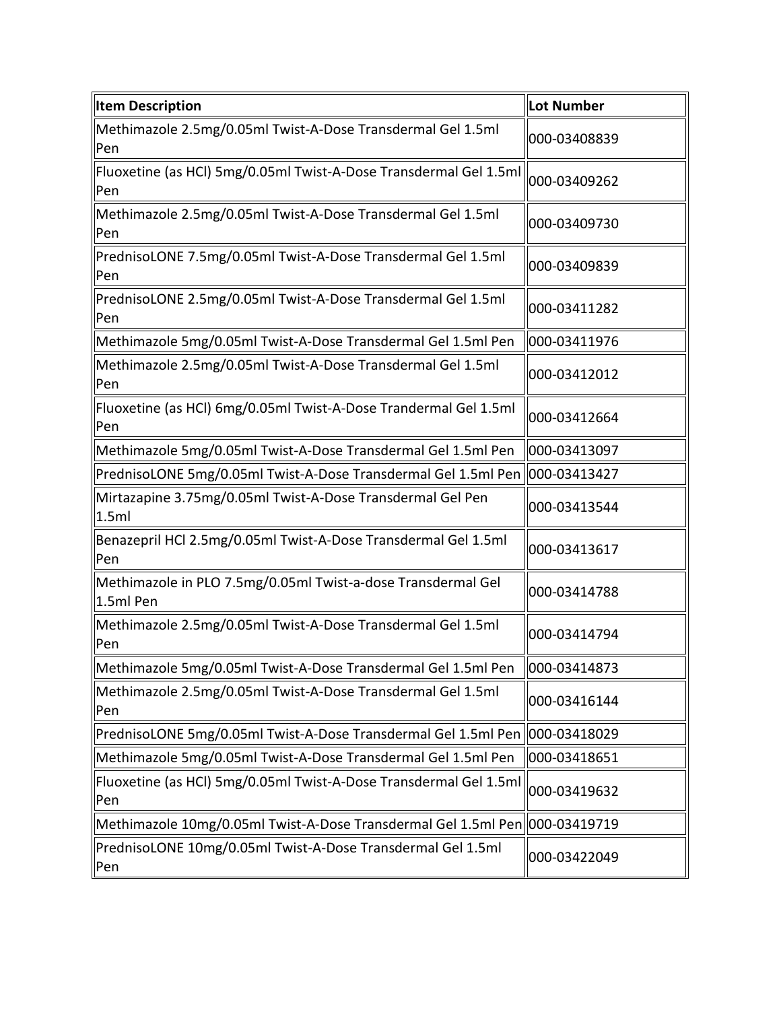| <b>Item Description</b>                                                       | Lot Number    |
|-------------------------------------------------------------------------------|---------------|
| Methimazole 2.5mg/0.05ml Twist-A-Dose Transdermal Gel 1.5ml<br>Pen            | 000-03408839  |
| Fluoxetine (as HCl) 5mg/0.05ml Twist-A-Dose Transdermal Gel 1.5ml<br>Pen      | 1000-03409262 |
| Methimazole 2.5mg/0.05ml Twist-A-Dose Transdermal Gel 1.5ml<br>Pen            | 000-03409730  |
| PrednisoLONE 7.5mg/0.05ml Twist-A-Dose Transdermal Gel 1.5ml<br>Pen           | 000-03409839  |
| PrednisoLONE 2.5mg/0.05ml Twist-A-Dose Transdermal Gel 1.5ml<br>Pen           | 000-03411282  |
| Methimazole 5mg/0.05ml Twist-A-Dose Transdermal Gel 1.5ml Pen                 | 000-03411976  |
| Methimazole 2.5mg/0.05ml Twist-A-Dose Transdermal Gel 1.5ml<br>Pen            | 000-03412012  |
| Fluoxetine (as HCl) 6mg/0.05ml Twist-A-Dose Trandermal Gel 1.5ml<br>Pen       | 000-03412664  |
| Methimazole 5mg/0.05ml Twist-A-Dose Transdermal Gel 1.5ml Pen                 | 000-03413097  |
| PrednisoLONE 5mg/0.05ml Twist-A-Dose Transdermal Gel 1.5ml Pen 000-03413427   |               |
| Mirtazapine 3.75mg/0.05ml Twist-A-Dose Transdermal Gel Pen<br>1.5ml           | 000-03413544  |
| Benazepril HCl 2.5mg/0.05ml Twist-A-Dose Transdermal Gel 1.5ml<br>Pen         | 000-03413617  |
| Methimazole in PLO 7.5mg/0.05ml Twist-a-dose Transdermal Gel<br>1.5ml Pen     | 000-03414788  |
| Methimazole 2.5mg/0.05ml Twist-A-Dose Transdermal Gel 1.5ml<br>Pen            | 000-03414794  |
| Methimazole 5mg/0.05ml Twist-A-Dose Transdermal Gel 1.5ml Pen                 | 000-03414873  |
| Methimazole 2.5mg/0.05ml Twist-A-Dose Transdermal Gel 1.5ml<br>Pen            | 000-03416144  |
| PrednisoLONE 5mg/0.05ml Twist-A-Dose Transdermal Gel 1.5ml Pen   000-03418029 |               |
| Methimazole 5mg/0.05ml Twist-A-Dose Transdermal Gel 1.5ml Pen                 | 000-03418651  |
| Fluoxetine (as HCl) 5mg/0.05ml Twist-A-Dose Transdermal Gel 1.5ml<br>Pen      | 000-03419632  |
| Methimazole 10mg/0.05ml Twist-A-Dose Transdermal Gel 1.5ml Pen 000-03419719   |               |
| PrednisoLONE 10mg/0.05ml Twist-A-Dose Transdermal Gel 1.5ml<br>Pen            | 000-03422049  |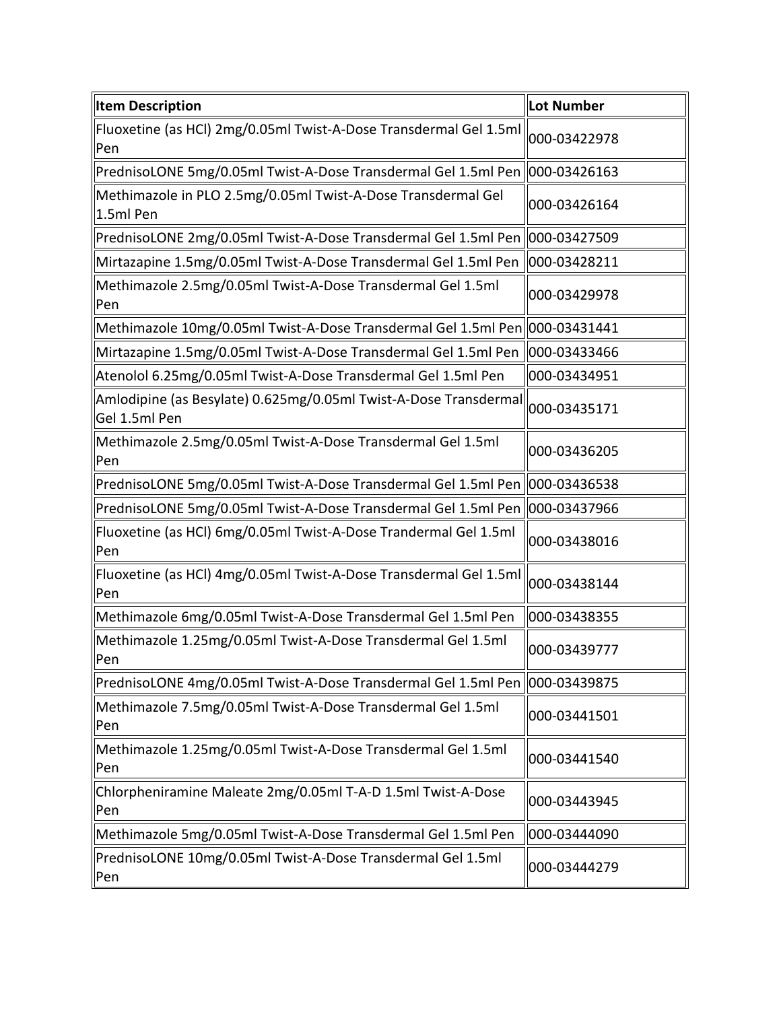| ∥Item Description                                                                       | Lot Number    |
|-----------------------------------------------------------------------------------------|---------------|
| Fluoxetine (as HCl) 2mg/0.05ml Twist-A-Dose Transdermal Gel 1.5ml<br>Pen                | 1000-03422978 |
| PrednisoLONE 5mg/0.05ml Twist-A-Dose Transdermal Gel 1.5ml Pen 000-03426163             |               |
| Methimazole in PLO 2.5mg/0.05ml Twist-A-Dose Transdermal Gel<br>1.5ml Pen               | 000-03426164  |
| PrednisoLONE 2mg/0.05ml Twist-A-Dose Transdermal Gel 1.5ml Pen   000-03427509           |               |
| Mirtazapine 1.5mg/0.05ml Twist-A-Dose Transdermal Gel 1.5ml Pen                         | 000-03428211  |
| Methimazole 2.5mg/0.05ml Twist-A-Dose Transdermal Gel 1.5ml<br>Pen                      | 000-03429978  |
| Methimazole 10mg/0.05ml Twist-A-Dose Transdermal Gel 1.5ml Pen $\parallel$ 000-03431441 |               |
| Mirtazapine 1.5mg/0.05ml Twist-A-Dose Transdermal Gel 1.5ml Pen                         | 000-03433466  |
| Atenolol 6.25mg/0.05ml Twist-A-Dose Transdermal Gel 1.5ml Pen                           | 000-03434951  |
| Amlodipine (as Besylate) 0.625mg/0.05ml Twist-A-Dose Transdermal<br>Gel 1.5ml Pen       | 000-03435171  |
| Methimazole 2.5mg/0.05ml Twist-A-Dose Transdermal Gel 1.5ml<br>Pen                      | 000-03436205  |
| PrednisoLONE 5mg/0.05ml Twist-A-Dose Transdermal Gel 1.5ml Pen   000-03436538           |               |
| PrednisoLONE 5mg/0.05ml Twist-A-Dose Transdermal Gel 1.5ml Pen   000-03437966           |               |
| Fluoxetine (as HCl) 6mg/0.05ml Twist-A-Dose Trandermal Gel 1.5ml<br>Pen                 | 000-03438016  |
| Fluoxetine (as HCl) 4mg/0.05ml Twist-A-Dose Transdermal Gel 1.5ml<br>Pen                | 000-03438144  |
| Methimazole 6mg/0.05ml Twist-A-Dose Transdermal Gel 1.5ml Pen                           | 000-03438355  |
| Methimazole 1.25mg/0.05ml Twist-A-Dose Transdermal Gel 1.5ml<br>Pen                     | 000-03439777  |
| PrednisoLONE 4mg/0.05ml Twist-A-Dose Transdermal Gel 1.5ml Pen 000-03439875             |               |
| Methimazole 7.5mg/0.05ml Twist-A-Dose Transdermal Gel 1.5ml<br>Pen                      | 000-03441501  |
| Methimazole 1.25mg/0.05ml Twist-A-Dose Transdermal Gel 1.5ml<br>Pen                     | 000-03441540  |
| Chlorpheniramine Maleate 2mg/0.05ml T-A-D 1.5ml Twist-A-Dose<br>Pen                     | 000-03443945  |
| Methimazole 5mg/0.05ml Twist-A-Dose Transdermal Gel 1.5ml Pen                           | 000-03444090  |
| PrednisoLONE 10mg/0.05ml Twist-A-Dose Transdermal Gel 1.5ml<br>Pen                      | 000-03444279  |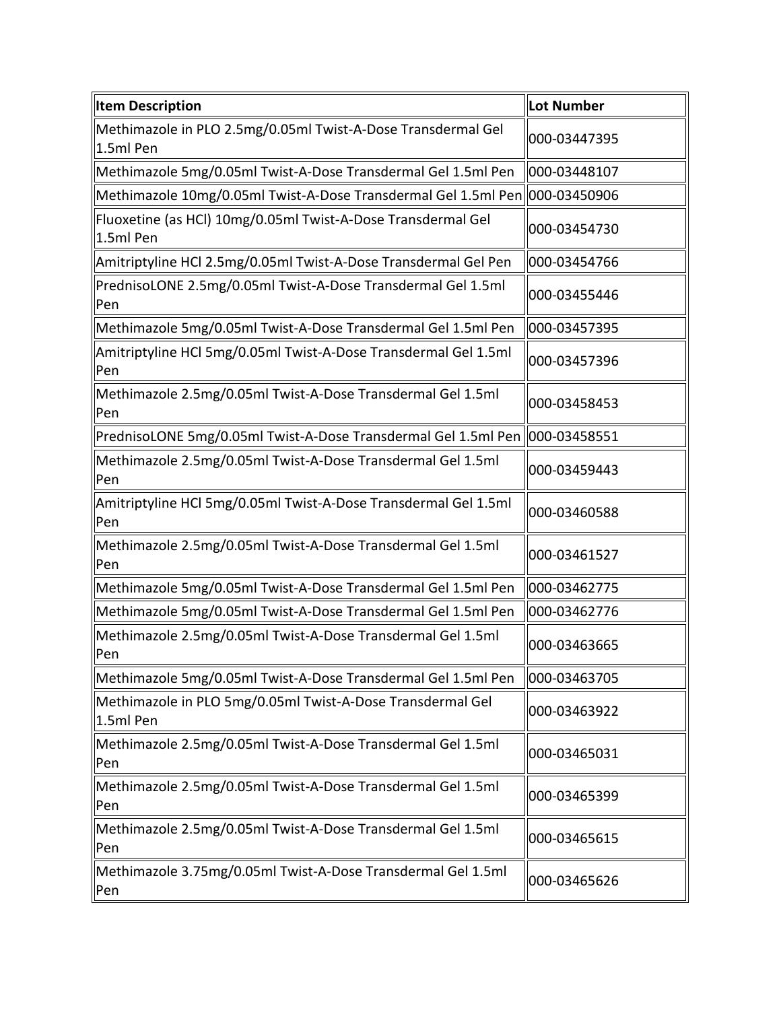| <b>Item Description</b>                                                     | Lot Number   |
|-----------------------------------------------------------------------------|--------------|
| Methimazole in PLO 2.5mg/0.05ml Twist-A-Dose Transdermal Gel<br>1.5ml Pen   | 000-03447395 |
| Methimazole 5mg/0.05ml Twist-A-Dose Transdermal Gel 1.5ml Pen               | 000-03448107 |
| Methimazole 10mg/0.05ml Twist-A-Dose Transdermal Gel 1.5ml Pen 000-03450906 |              |
| Fluoxetine (as HCl) 10mg/0.05ml Twist-A-Dose Transdermal Gel<br>1.5ml Pen   | 000-03454730 |
| Amitriptyline HCl 2.5mg/0.05ml Twist-A-Dose Transdermal Gel Pen             | 000-03454766 |
| PrednisoLONE 2.5mg/0.05ml Twist-A-Dose Transdermal Gel 1.5ml<br>Pen         | 000-03455446 |
| Methimazole 5mg/0.05ml Twist-A-Dose Transdermal Gel 1.5ml Pen               | 000-03457395 |
| Amitriptyline HCl 5mg/0.05ml Twist-A-Dose Transdermal Gel 1.5ml<br>Pen      | 000-03457396 |
| Methimazole 2.5mg/0.05ml Twist-A-Dose Transdermal Gel 1.5ml<br>Pen          | 000-03458453 |
| PrednisoLONE 5mg/0.05ml Twist-A-Dose Transdermal Gel 1.5ml Pen 000-03458551 |              |
| Methimazole 2.5mg/0.05ml Twist-A-Dose Transdermal Gel 1.5ml<br>Pen          | 000-03459443 |
| Amitriptyline HCl 5mg/0.05ml Twist-A-Dose Transdermal Gel 1.5ml<br>Pen      | 000-03460588 |
| Methimazole 2.5mg/0.05ml Twist-A-Dose Transdermal Gel 1.5ml<br>Pen          | 000-03461527 |
| Methimazole 5mg/0.05ml Twist-A-Dose Transdermal Gel 1.5ml Pen               | 000-03462775 |
| Methimazole 5mg/0.05ml Twist-A-Dose Transdermal Gel 1.5ml Pen               | 000-03462776 |
| Methimazole 2.5mg/0.05ml Twist-A-Dose Transdermal Gel 1.5ml<br>Pen          | 000-03463665 |
| Methimazole 5mg/0.05ml Twist-A-Dose Transdermal Gel 1.5ml Pen               | 000-03463705 |
| Methimazole in PLO 5mg/0.05ml Twist-A-Dose Transdermal Gel<br>1.5ml Pen     | 000-03463922 |
| Methimazole 2.5mg/0.05ml Twist-A-Dose Transdermal Gel 1.5ml<br>Pen          | 000-03465031 |
| Methimazole 2.5mg/0.05ml Twist-A-Dose Transdermal Gel 1.5ml<br>Pen          | 000-03465399 |
| Methimazole 2.5mg/0.05ml Twist-A-Dose Transdermal Gel 1.5ml<br>Pen          | 000-03465615 |
| Methimazole 3.75mg/0.05ml Twist-A-Dose Transdermal Gel 1.5ml<br>Pen         | 000-03465626 |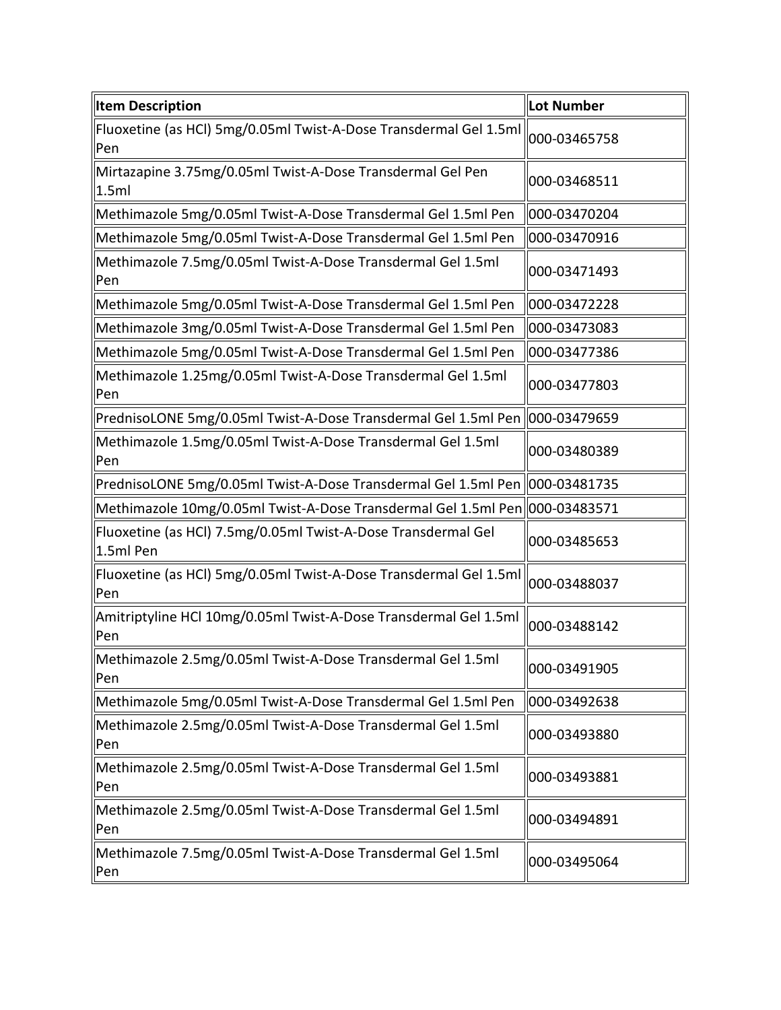| Item Description                                                                      | Lot Number    |
|---------------------------------------------------------------------------------------|---------------|
| Fluoxetine (as HCl) 5mg/0.05ml Twist-A-Dose Transdermal Gel 1.5ml 000-03465758<br>Pen |               |
| Mirtazapine 3.75mg/0.05ml Twist-A-Dose Transdermal Gel Pen<br>1.5ml                   | 000-03468511  |
| Methimazole 5mg/0.05ml Twist-A-Dose Transdermal Gel 1.5ml Pen                         | 000-03470204  |
| Methimazole 5mg/0.05ml Twist-A-Dose Transdermal Gel 1.5ml Pen                         | 000-03470916  |
| Methimazole 7.5mg/0.05ml Twist-A-Dose Transdermal Gel 1.5ml<br>Pen                    | 000-03471493  |
| Methimazole 5mg/0.05ml Twist-A-Dose Transdermal Gel 1.5ml Pen                         | 000-03472228  |
| Methimazole 3mg/0.05ml Twist-A-Dose Transdermal Gel 1.5ml Pen                         | 000-03473083  |
| Methimazole 5mg/0.05ml Twist-A-Dose Transdermal Gel 1.5ml Pen                         | 000-03477386  |
| Methimazole 1.25mg/0.05ml Twist-A-Dose Transdermal Gel 1.5ml<br>Pen                   | 000-03477803  |
| PrednisoLONE 5mg/0.05ml Twist-A-Dose Transdermal Gel 1.5ml Pen   000-03479659         |               |
| Methimazole 1.5mg/0.05ml Twist-A-Dose Transdermal Gel 1.5ml<br>Pen                    | 000-03480389  |
| PrednisoLONE 5mg/0.05ml Twist-A-Dose Transdermal Gel 1.5ml Pen  000-03481735          |               |
| Methimazole 10mg/0.05ml Twist-A-Dose Transdermal Gel 1.5ml Pen  000-03483571          |               |
| Fluoxetine (as HCl) 7.5mg/0.05ml Twist-A-Dose Transdermal Gel<br>1.5ml Pen            | 000-03485653  |
| Fluoxetine (as HCl) 5mg/0.05ml Twist-A-Dose Transdermal Gel 1.5ml<br>Pen              | 1000-03488037 |
| Amitriptyline HCl 10mg/0.05ml Twist-A-Dose Transdermal Gel 1.5ml<br>Pen               | 000-03488142  |
| Methimazole 2.5mg/0.05ml Twist-A-Dose Transdermal Gel 1.5ml<br> Pen                   | 000-03491905  |
| Methimazole 5mg/0.05ml Twist-A-Dose Transdermal Gel 1.5ml Pen                         | 000-03492638  |
| Methimazole 2.5mg/0.05ml Twist-A-Dose Transdermal Gel 1.5ml<br>Pen                    | 000-03493880  |
| Methimazole 2.5mg/0.05ml Twist-A-Dose Transdermal Gel 1.5ml<br>Pen                    | 000-03493881  |
| Methimazole 2.5mg/0.05ml Twist-A-Dose Transdermal Gel 1.5ml<br>Pen                    | 000-03494891  |
| Methimazole 7.5mg/0.05ml Twist-A-Dose Transdermal Gel 1.5ml<br>Pen                    | 000-03495064  |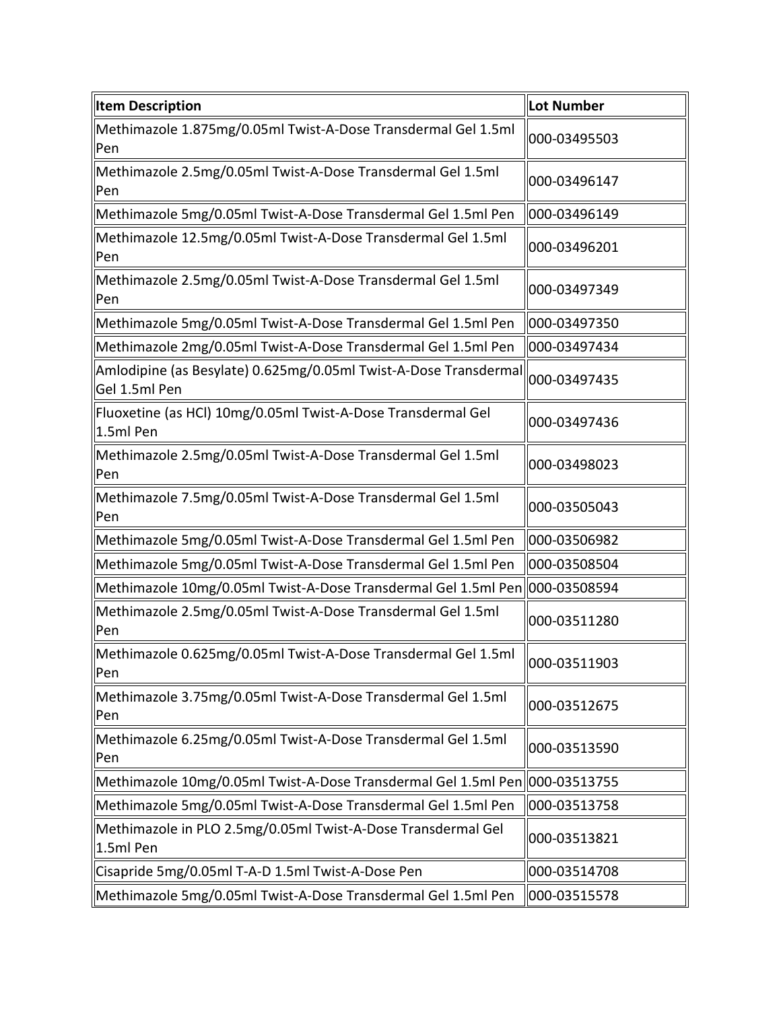| <b>Item Description</b>                                                                             | Lot Number   |
|-----------------------------------------------------------------------------------------------------|--------------|
| Methimazole 1.875mg/0.05ml Twist-A-Dose Transdermal Gel 1.5ml<br>Pen                                | 000-03495503 |
| Methimazole 2.5mg/0.05ml Twist-A-Dose Transdermal Gel 1.5ml<br>Pen                                  | 000-03496147 |
| Methimazole 5mg/0.05ml Twist-A-Dose Transdermal Gel 1.5ml Pen                                       | 000-03496149 |
| Methimazole 12.5mg/0.05ml Twist-A-Dose Transdermal Gel 1.5ml<br>Pen                                 | 000-03496201 |
| Methimazole 2.5mg/0.05ml Twist-A-Dose Transdermal Gel 1.5ml<br>Pen                                  | 000-03497349 |
| Methimazole 5mg/0.05ml Twist-A-Dose Transdermal Gel 1.5ml Pen                                       | 000-03497350 |
| Methimazole 2mg/0.05ml Twist-A-Dose Transdermal Gel 1.5ml Pen                                       | 000-03497434 |
| Amlodipine (as Besylate) 0.625mg/0.05ml Twist-A-Dose Transdermal 000-03497435<br>Gel 1.5ml Pen      |              |
| Fluoxetine (as HCl) 10mg/0.05ml Twist-A-Dose Transdermal Gel<br>1.5ml Pen                           | 000-03497436 |
| Methimazole 2.5mg/0.05ml Twist-A-Dose Transdermal Gel 1.5ml<br>Pen                                  | 000-03498023 |
| Methimazole 7.5mg/0.05ml Twist-A-Dose Transdermal Gel 1.5ml<br>Pen                                  | 000-03505043 |
| Methimazole 5mg/0.05ml Twist-A-Dose Transdermal Gel 1.5ml Pen                                       | 000-03506982 |
| Methimazole 5mg/0.05ml Twist-A-Dose Transdermal Gel 1.5ml Pen                                       | 000-03508504 |
| Methimazole 10mg/0.05ml Twist-A-Dose Transdermal Gel 1.5ml Pen 000-03508594                         |              |
| Methimazole 2.5mg/0.05ml Twist-A-Dose Transdermal Gel 1.5ml<br>Pen                                  | 000-03511280 |
| Methimazole 0.625mg/0.05ml Twist-A-Dose Transdermal Gel 1.5ml<br><b>Pen</b>                         | 000-03511903 |
| Methimazole 3.75mg/0.05ml Twist-A-Dose Transdermal Gel 1.5ml<br>Pen                                 | 000-03512675 |
| Methimazole 6.25mg/0.05ml Twist-A-Dose Transdermal Gel 1.5ml<br>Pen                                 | 000-03513590 |
| $\parallel$ Methimazole 10mg/0.05ml Twist-A-Dose Transdermal Gel 1.5ml Pen $\parallel$ 000-03513755 |              |
| Methimazole 5mg/0.05ml Twist-A-Dose Transdermal Gel 1.5ml Pen                                       | 000-03513758 |
| Methimazole in PLO 2.5mg/0.05ml Twist-A-Dose Transdermal Gel<br>1.5ml Pen                           | 000-03513821 |
| Cisapride 5mg/0.05ml T-A-D 1.5ml Twist-A-Dose Pen                                                   | 000-03514708 |
| Methimazole 5mg/0.05ml Twist-A-Dose Transdermal Gel 1.5ml Pen                                       | 000-03515578 |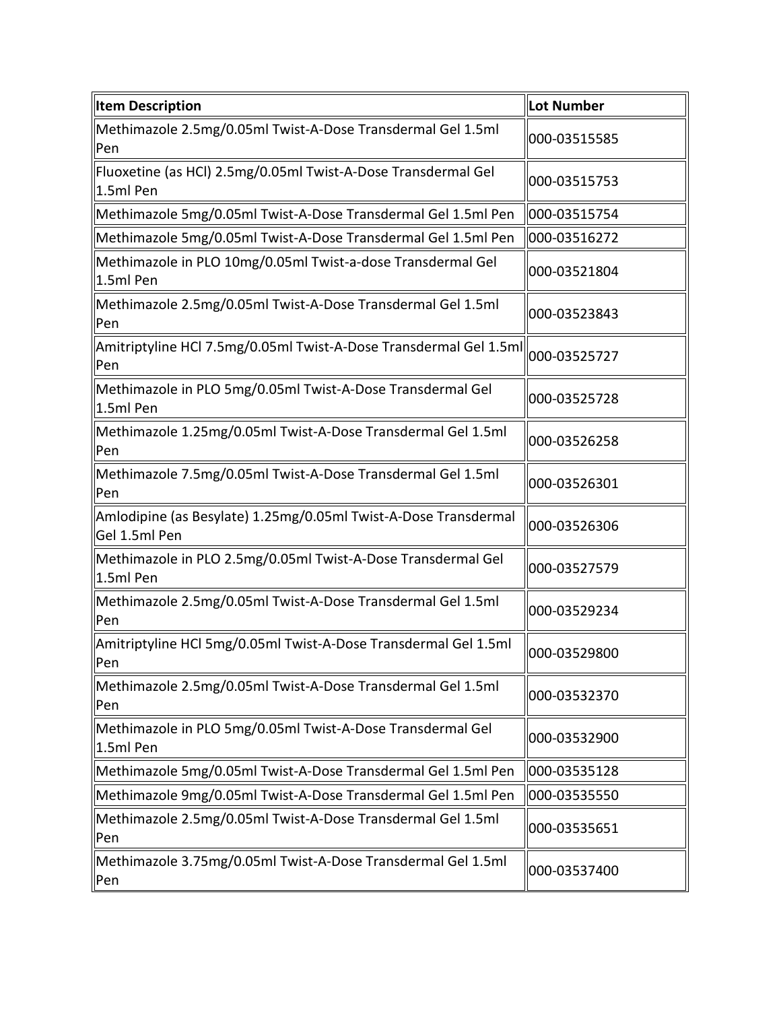| <b>Item Description</b>                                                          | Lot Number   |
|----------------------------------------------------------------------------------|--------------|
| Methimazole 2.5mg/0.05ml Twist-A-Dose Transdermal Gel 1.5ml<br>Pen               | 000-03515585 |
| Fluoxetine (as HCl) 2.5mg/0.05ml Twist-A-Dose Transdermal Gel<br>1.5ml Pen       | 000-03515753 |
| Methimazole 5mg/0.05ml Twist-A-Dose Transdermal Gel 1.5ml Pen                    | 000-03515754 |
| Methimazole 5mg/0.05ml Twist-A-Dose Transdermal Gel 1.5ml Pen                    | 000-03516272 |
| Methimazole in PLO 10mg/0.05ml Twist-a-dose Transdermal Gel<br>1.5ml Pen         | 000-03521804 |
| Methimazole 2.5mg/0.05ml Twist-A-Dose Transdermal Gel 1.5ml<br>Pen               | 000-03523843 |
| Amitriptyline HCl 7.5mg/0.05ml Twist-A-Dose Transdermal Gel 1.5ml<br>Pen         | 000-03525727 |
| Methimazole in PLO 5mg/0.05ml Twist-A-Dose Transdermal Gel<br>1.5ml Pen          | 000-03525728 |
| Methimazole 1.25mg/0.05ml Twist-A-Dose Transdermal Gel 1.5ml<br>Pen              | 000-03526258 |
| Methimazole 7.5mg/0.05ml Twist-A-Dose Transdermal Gel 1.5ml<br>Pen               | 000-03526301 |
| Amlodipine (as Besylate) 1.25mg/0.05ml Twist-A-Dose Transdermal<br>Gel 1.5ml Pen | 000-03526306 |
| Methimazole in PLO 2.5mg/0.05ml Twist-A-Dose Transdermal Gel<br>1.5ml Pen        | 000-03527579 |
| Methimazole 2.5mg/0.05ml Twist-A-Dose Transdermal Gel 1.5ml<br>Pen               | 000-03529234 |
| Amitriptyline HCl 5mg/0.05ml Twist-A-Dose Transdermal Gel 1.5ml<br>Pen           | 000-03529800 |
| Methimazole 2.5mg/0.05ml Twist-A-Dose Transdermal Gel 1.5ml<br>Pen               | 000-03532370 |
| Methimazole in PLO 5mg/0.05ml Twist-A-Dose Transdermal Gel<br>1.5ml Pen          | 000-03532900 |
| Methimazole 5mg/0.05ml Twist-A-Dose Transdermal Gel 1.5ml Pen                    | 000-03535128 |
| Methimazole 9mg/0.05ml Twist-A-Dose Transdermal Gel 1.5ml Pen                    | 000-03535550 |
| Methimazole 2.5mg/0.05ml Twist-A-Dose Transdermal Gel 1.5ml<br>Pen               | 000-03535651 |
| Methimazole 3.75mg/0.05ml Twist-A-Dose Transdermal Gel 1.5ml<br>Pen              | 000-03537400 |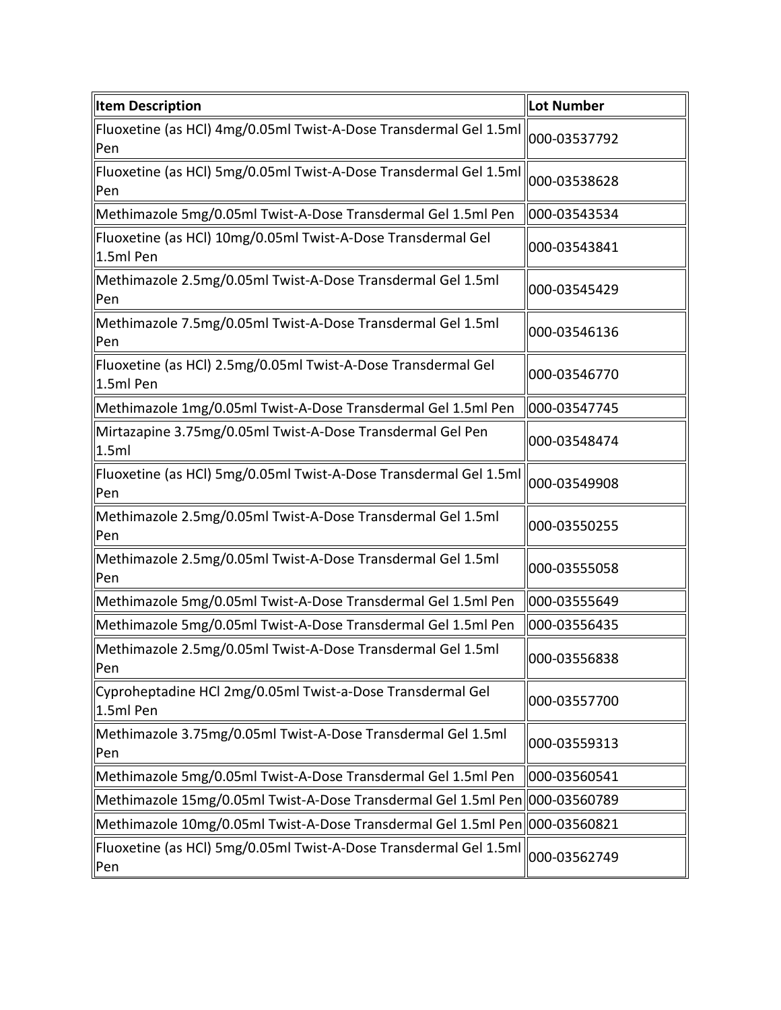| <b>Item Description</b>                                                      | Lot Number     |
|------------------------------------------------------------------------------|----------------|
| Fluoxetine (as HCl) 4mg/0.05ml Twist-A-Dose Transdermal Gel 1.5ml<br>Pen     | llooo-03537792 |
| Fluoxetine (as HCl) 5mg/0.05ml Twist-A-Dose Transdermal Gel 1.5ml<br>Pen     | 1000-03538628  |
| Methimazole 5mg/0.05ml Twist-A-Dose Transdermal Gel 1.5ml Pen                | 000-03543534   |
| Fluoxetine (as HCl) 10mg/0.05ml Twist-A-Dose Transdermal Gel<br>1.5ml Pen    | 000-03543841   |
| Methimazole 2.5mg/0.05ml Twist-A-Dose Transdermal Gel 1.5ml<br>Pen           | 000-03545429   |
| Methimazole 7.5mg/0.05ml Twist-A-Dose Transdermal Gel 1.5ml<br>Pen           | 000-03546136   |
| Fluoxetine (as HCl) 2.5mg/0.05ml Twist-A-Dose Transdermal Gel<br>1.5ml Pen   | 000-03546770   |
| Methimazole 1mg/0.05ml Twist-A-Dose Transdermal Gel 1.5ml Pen                | 000-03547745   |
| Mirtazapine 3.75mg/0.05ml Twist-A-Dose Transdermal Gel Pen<br>1.5ml          | 000-03548474   |
| Fluoxetine (as HCl) 5mg/0.05ml Twist-A-Dose Transdermal Gel 1.5ml<br>Pen     | 000-03549908   |
| Methimazole 2.5mg/0.05ml Twist-A-Dose Transdermal Gel 1.5ml<br>Pen           | 000-03550255   |
| Methimazole 2.5mg/0.05ml Twist-A-Dose Transdermal Gel 1.5ml<br>Pen           | 000-03555058   |
| Methimazole 5mg/0.05ml Twist-A-Dose Transdermal Gel 1.5ml Pen                | 000-03555649   |
| Methimazole 5mg/0.05ml Twist-A-Dose Transdermal Gel 1.5ml Pen                | 000-03556435   |
| Methimazole 2.5mg/0.05ml Twist-A-Dose Transdermal Gel 1.5ml<br>  Pen         | 000-03556838   |
| Cyproheptadine HCl 2mg/0.05ml Twist-a-Dose Transdermal Gel<br>1.5ml Pen      | 000-03557700   |
| Methimazole 3.75mg/0.05ml Twist-A-Dose Transdermal Gel 1.5ml<br>Pen          | 000-03559313   |
| Methimazole 5mg/0.05ml Twist-A-Dose Transdermal Gel 1.5ml Pen                | 000-03560541   |
| Methimazole 15mg/0.05ml Twist-A-Dose Transdermal Gel 1.5ml Pen  000-03560789 |                |
| Methimazole 10mg/0.05ml Twist-A-Dose Transdermal Gel 1.5ml Pen 000-03560821  |                |
| Fluoxetine (as HCl) 5mg/0.05ml Twist-A-Dose Transdermal Gel 1.5ml<br>Pen     | 000-03562749   |